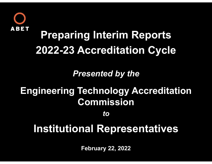

## **Preparing Interim Reports 2022-23 Accreditation Cycle**

*Presented by the*

## **Engineering Technology Accreditation Commission**

*to*

## **Institutional Representatives**

**February 22, 2022**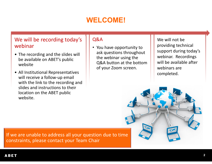### **WELCOME!**

#### We will be recording today's webinar

- The recording and the slides will be available on ABET's public website
- All Institutional Representatives will receive <sup>a</sup> follow‐up email with the link to the recording and slides and instructions to their location on the ABET public website.

#### Q&A

• You have opportunity to ask questions throughout the webinar using the Q&A button at the bottom of your Zoom screen.

We will not be providing technical support during today's webinar. Recordings will be available after webinars arecompleted.



If we are unable to address all your question due to time constraints, please contact your Team Chair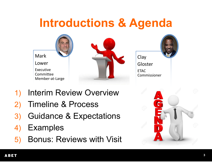## **Introductions & Agenda**



- 1) Interim Review Overview
- 2) Timeline & Process
- 3) Guidance & Expectations
- 4) Examples
- 5) Bonus: Reviews with Visit

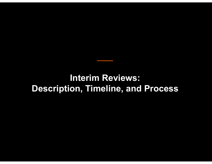### **Interim Reviews: Description, Timeline, and Process**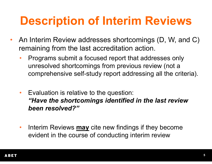## **Description of Interim Reviews**

- $\bullet$  An Interim Review addresses shortcomings (D, W, and C) remaining from the last accreditation action.
	- • Programs submit a focused report that addresses only unresolved shortcomings from previous review (not a comprehensive self-study report addressing all the criteria).
	- • Evaluation is relative to the question: *"Have the shortcomings identified in the last review been resolved?"*
	- $\bullet$  Interim Reviews **may** cite new findings if they become evident in the course of conducting interim review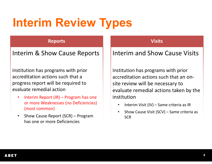# **Interim Review Types**

#### **Reports**

Interim & Show Cause Reports

Institution has programs with prior accreditation actions such that aprogress report will be required to evaluate remedial action

- •• Interim Report (IR) – Program has one or more Weaknesses (no Deficiencies) (most common)
- •• Show Cause Report (SCR) – Program has one or more Deficiencies

#### **Visits**

### Interim and Show Cause Visits

Institution has programs with prior accreditation actions such that an on ‐site review will be necessary to evaluate remedial actions taken by the institution

- •• Interim Visit (IV) – Same criteria as IR
- •• Show Cause Visit (SCV) – Same criteria as **SCR**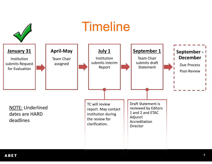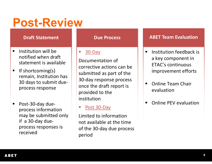## **Post-Review**

#### **Draft Statement**

- $\blacksquare$  $\blacksquare$  Institution will be notified when draft statement is available
- $\blacksquare$  If shortcoming(s) remain, Institution has 30 days to submit due‐ process response
- Post‐30‐day due‐ process information may be submitted only if a 30‐day due‐ process responses is received

#### **Due Process**

#### 30‐Day

Documentation of corrective actions can be submitted as part of the 30‐day response process once the draft report is provided to the institution

#### Post 30-Day

Limited to information not available at the time of the 30‐day due process period

#### **ABET Team Evaluation**

- $\blacksquare$ **E** Institution feedback is a key component in ETAC's continuous improvement efforts
- ٠ ■ Online Team Chair evaluation
- $\blacksquare$ **•** Online PEV evaluation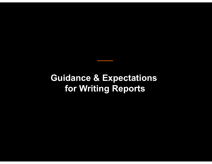### **Guidance & Expectations for Writing Reports**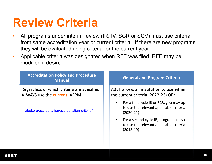## **Review Criteria**

- • All programs under interim review (IR, IV, SCR or SCV) must use criteria from same accreditation year or current criteria. If there are new programs, they will be evaluated using criteria for the current year.
- • Applicable criteria was designated when RFE was filed. RFE may be modified if desired.

| <b>Accreditation Policy and Procedure</b><br><b>Manual</b>                        | <b>General and Program Criteria</b>                                                                |
|-----------------------------------------------------------------------------------|----------------------------------------------------------------------------------------------------|
| Regardless of which criteria are specified,<br>ALWAYS use the <b>current</b> APPM | ABET allows an institution to use either<br>the current criteria (2022-23) OR:                     |
| abet.org/accreditation/accreditation-criteria/                                    | For a first cycle IR or SCR, you may opt<br>to use the relevant applicable criteria<br>$(2020-21)$ |
|                                                                                   | For a second cycle IR, programs may opt<br>to use the relevant applicable criteria<br>$(2018-19)$  |
|                                                                                   |                                                                                                    |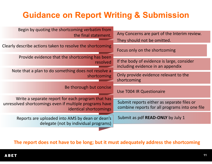### **Guidance on Report Writing & Submission**

| Begin by quoting the shortcoming verbatim from<br>the final statement.                                                                | Any Concerns are part of the Interim review.                                                 |
|---------------------------------------------------------------------------------------------------------------------------------------|----------------------------------------------------------------------------------------------|
| Clearly describe actions taken to resolve the shortcoming                                                                             | They should not be omitted.<br>Focus only on the shortcoming                                 |
| Provide evidence that the shortcoming has been<br>resolved                                                                            | If the body of evidence is large, consider<br>including evidence in an appendix              |
| Note that a plan to do something does not resolve a<br>shortcoming                                                                    | Only provide evidence relevant to the<br>shortcoming                                         |
| Be thorough but concise                                                                                                               | Use T004 IR Questionaire                                                                     |
| Write a separate report for each program that has<br>unresolved shortcomings even if multiple programs have<br>identical shortcomings | Submit reports either as separate files or<br>combine reports for all programs into one file |
| Reports are uploaded into AMS by dean or dean's<br>delegate (not by individual programs)                                              | Submit as pdf READ-ONLY by July 1                                                            |
|                                                                                                                                       |                                                                                              |

**The report does not have to be long; but it must adequately address the shortcoming**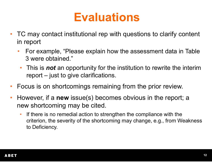## **Evaluations**

- $\bullet$  TC may contact institutional rep with questions to clarify content in report
	- $\bullet$  For example, "Please explain how the assessment data in Table 3 were obtained."
		- $\bullet$  This is *not* an opportunity for the institution to rewrite the interim report – just to give clarifications.
- $\bullet$ Focus is on shortcomings remaining from the prior review.
- $\bullet$  However, if a **new** issue(s) becomes obvious in the report; a new shortcoming may be cited.
	- • If there is no remedial action to strengthen the compliance with the criterion, the severity of the shortcoming may change, e.g., from Weakness to Deficiency.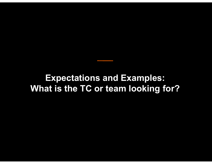### **Expectations and Examples: What is the TC or team looking for?**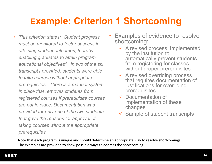### **Example: Criterion 1 Shortcoming**

- • *This criterion states: "Student progress must be monitored to foster success in attaining student outcomes, thereby enabling graduates to attain program educational objectives". In two of the six transcripts provided, students were able to take courses without appropriate prerequisites. There is a manual system in place that removes students from registered courses if prerequisite courses are not in place. Documentation was provided for only one of the two students that gave the reasons for approval of taking courses without the appropriate prerequisites.*
- • Examples of evidence to resolve shortcoming:
	- $\checkmark$  A revised process, implemented by the institution to automatically prevent students from registering for classes without proper prerequisites
	- **★ A revised overriding process** that requires documentation of justifications for overriding prerequisites
	- **✓ Documentation of** implementation of these changes
	- $\checkmark$ Sample of student transcripts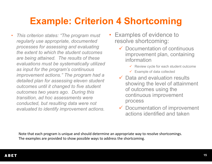### **Example: Criterion 4 Shortcoming**

- • *This criterion states: "The program must regularly use appropriate, documented processes for assessing and evaluating the extent to which the student outcomes are being attained. The results of these evaluations must be systematically utilized as input for the program's continuous improvement actions." The program had a detailed plan for assessing eleven student outcomes until it changed to five student outcomes two years ago. During this transition, ad hoc assessments were conducted, but resulting data were not evaluated to identify improvement actions.*
- • Examples of evidence to resolve shortcoming:
	- **► Documentation of continuous** improvement plan, containing information
		- $\checkmark$  Review cycle for each student outcome
		- ✓ Example of data collected
	- $\checkmark$  Data and evaluation results showing the level of attainment of outcomes using the continuous improvement process
	- $\checkmark$  Documentation of improvement actions identified and taken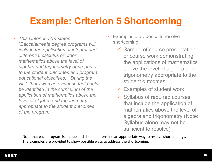## **Example: Criterion 5 Shortcoming**

- • *This Criterion 5(b) states: "Baccalaureate degree programs will include the application of integral and differential calculus or other mathematics above the level of algebra and trigonometry appropriate to the student outcomes and program educational objectives." During the visit, there was no evidence that could be identified in the curriculum of the application of mathematics above the level of algebra and trigonometry appropriate to the student outcomes of the program.*
- • Examples of evidence to resolve shortcoming:
	- $\checkmark$  Sample of course presentation or course work demonstrating the applications of mathematics above the level of algebra and trigonometry appropriate to the student outcomes
	- $\checkmark$  Examples of student work
	- $\checkmark$  Syllabus of required courses that include the application of mathematics above the level of algebra and trigonometry (Note: Syllabus alone may not be sufficient to resolve)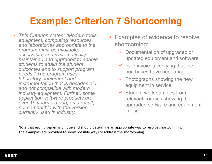## **Example: Criterion 7 Shortcoming**

- • *This Criterion states: "Modern tools, equipment, computing resources, and laboratories appropriate to the program must be available, accessible, and systematically maintained and upgraded to enable students to attain the student outcomes and to support program needs." The program uses laboratory equipment and instrumentation that is decades old and not compatible with modern industry equipment. Further, some application software products are over 15 years old and, as a result, not compatible with the version currently used in industry.*
- • Examples of evidence to resolve shortcoming:
	- Documentation of upgraded or updated equipment and software
	- $\checkmark$  Paid invoices verifying that the purchases have been made
	- $\checkmark$  Photographs showing the new equipment in service
	- $\checkmark$  Student work samples from relevant courses showing the upgraded software and equipment in use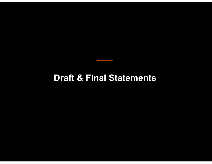### **Draft & Final Statements**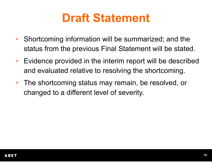## **Draft Statement**

- $\bullet$  Shortcoming information will be summarized; and the status from the previous Final Statement will be stated.
- $\bullet$  Evidence provided in the interim report will be described and evaluated relative to resolving the shortcoming.
- $\bullet$  The shortcoming status may remain, be resolved, or changed to a different level of severity.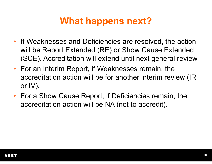### **What happens next?**

- If Weaknesses and Deficiencies are resolved, the action will be Report Extended (RE) or Show Cause Extended (SCE). Accreditation will extend until next general review.
- For an Interim Report, if Weaknesses remain, the accreditation action will be for another interim review (IR or IV).
- For a Show Cause Report, if Deficiencies remain, the accreditation action will be NA (not to accredit).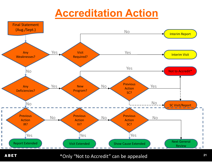## **Accreditation Action**



**ABET** 

\*Only "Not to Accredit" can be appealed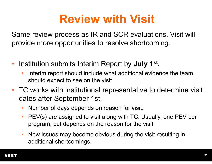## **Review with Visit**

Same review process as IR and SCR evaluations. Visit will provide more opportunities to resolve shortcoming.

- $\bullet$  Institution submits Interim Report by **July 1st.**
	- • Interim report should include what additional evidence the team should expect to see on the visit.
- TC works with institutional representative to determine visit dates after September 1st.
	- •Number of days depends on reason for visit.
	- • PEV(s) are assigned to visit along with TC. Usually, one PEV per program, but depends on the reason for the visit.
	- • New issues may become obvious during the visit resulting in additional shortcomings.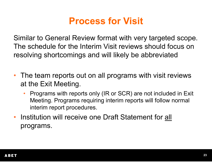## **Process for Visit**

Similar to General Review format with very targeted scope. The schedule for the Interim Visit reviews should focus on resolving shortcomings and will likely be abbreviated

- The team reports out on all programs with visit reviews at the Exit Meeting.
	- • Programs with reports only (IR or SCR) are not included in Exit Meeting. Programs requiring interim reports will follow normal interim report procedures.
- Institution will receive one Draft Statement for all programs.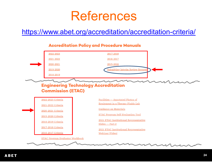## References

### https://www.abet.org/accreditation/accreditation-criteria/



#### **Accreditation Policy and Procedure Manuals**